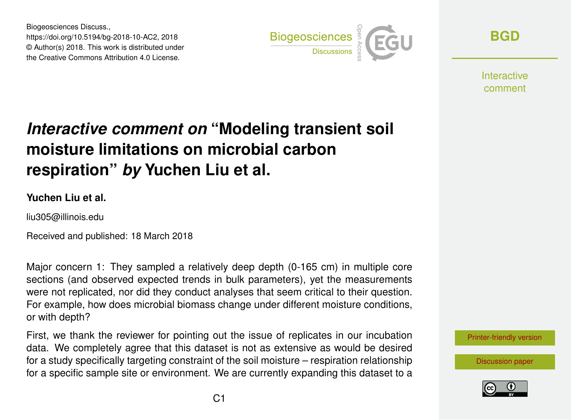Biogeosciences Discuss., https://doi.org/10.5194/bg-2018-10-AC2, 2018 © Author(s) 2018. This work is distributed under the Creative Commons Attribution 4.0 License.



**[BGD](https://www.biogeosciences-discuss.net/)**

**Interactive** comment

# *Interactive comment on* **"Modeling transient soil moisture limitations on microbial carbon respiration"** *by* **Yuchen Liu et al.**

#### **Yuchen Liu et al.**

liu305@illinois.edu

Received and published: 18 March 2018

Major concern 1: They sampled a relatively deep depth (0-165 cm) in multiple core sections (and observed expected trends in bulk parameters), yet the measurements were not replicated, nor did they conduct analyses that seem critical to their question. For example, how does microbial biomass change under different moisture conditions, or with depth?

First, we thank the reviewer for pointing out the issue of replicates in our incubation data. We completely agree that this dataset is not as extensive as would be desired for a study specifically targeting constraint of the soil moisture – respiration relationship for a specific sample site or environment. We are currently expanding this dataset to a

[Printer-friendly version](https://www.biogeosciences-discuss.net/bg-2018-10/bg-2018-10-AC2-print.pdf)

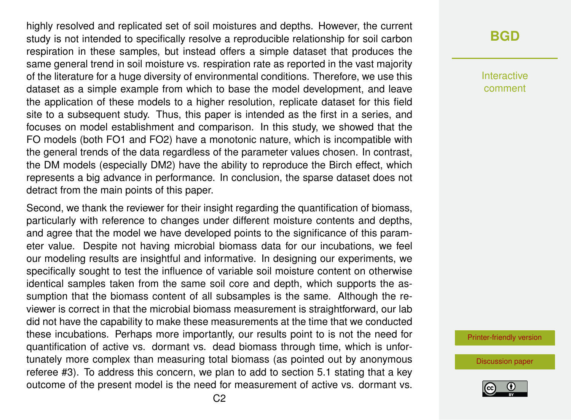highly resolved and replicated set of soil moistures and depths. However, the current study is not intended to specifically resolve a reproducible relationship for soil carbon respiration in these samples, but instead offers a simple dataset that produces the same general trend in soil moisture vs. respiration rate as reported in the vast majority of the literature for a huge diversity of environmental conditions. Therefore, we use this dataset as a simple example from which to base the model development, and leave the application of these models to a higher resolution, replicate dataset for this field site to a subsequent study. Thus, this paper is intended as the first in a series, and focuses on model establishment and comparison. In this study, we showed that the FO models (both FO1 and FO2) have a monotonic nature, which is incompatible with the general trends of the data regardless of the parameter values chosen. In contrast, the DM models (especially DM2) have the ability to reproduce the Birch effect, which represents a big advance in performance. In conclusion, the sparse dataset does not detract from the main points of this paper.

Second, we thank the reviewer for their insight regarding the quantification of biomass, particularly with reference to changes under different moisture contents and depths, and agree that the model we have developed points to the significance of this parameter value. Despite not having microbial biomass data for our incubations, we feel our modeling results are insightful and informative. In designing our experiments, we specifically sought to test the influence of variable soil moisture content on otherwise identical samples taken from the same soil core and depth, which supports the assumption that the biomass content of all subsamples is the same. Although the reviewer is correct in that the microbial biomass measurement is straightforward, our lab did not have the capability to make these measurements at the time that we conducted these incubations. Perhaps more importantly, our results point to is not the need for quantification of active vs. dormant vs. dead biomass through time, which is unfortunately more complex than measuring total biomass (as pointed out by anonymous referee #3). To address this concern, we plan to add to section 5.1 stating that a key outcome of the present model is the need for measurement of active vs. dormant vs.

### **[BGD](https://www.biogeosciences-discuss.net/)**

Interactive comment

[Printer-friendly version](https://www.biogeosciences-discuss.net/bg-2018-10/bg-2018-10-AC2-print.pdf)

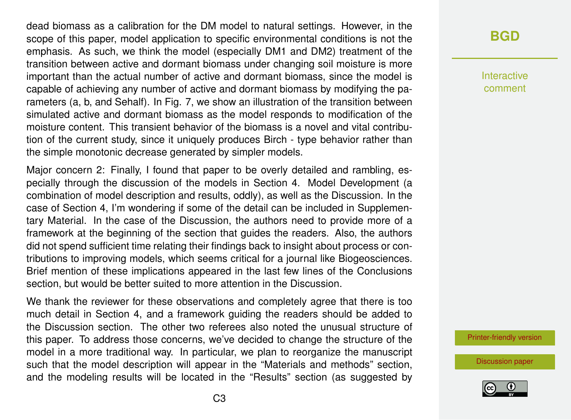dead biomass as a calibration for the DM model to natural settings. However, in the scope of this paper, model application to specific environmental conditions is not the emphasis. As such, we think the model (especially DM1 and DM2) treatment of the transition between active and dormant biomass under changing soil moisture is more important than the actual number of active and dormant biomass, since the model is capable of achieving any number of active and dormant biomass by modifying the parameters (a, b, and Sehalf). In Fig. 7, we show an illustration of the transition between simulated active and dormant biomass as the model responds to modification of the moisture content. This transient behavior of the biomass is a novel and vital contribution of the current study, since it uniquely produces Birch - type behavior rather than the simple monotonic decrease generated by simpler models.

Major concern 2: Finally, I found that paper to be overly detailed and rambling, especially through the discussion of the models in Section 4. Model Development (a combination of model description and results, oddly), as well as the Discussion. In the case of Section 4, I'm wondering if some of the detail can be included in Supplementary Material. In the case of the Discussion, the authors need to provide more of a framework at the beginning of the section that guides the readers. Also, the authors did not spend sufficient time relating their findings back to insight about process or contributions to improving models, which seems critical for a journal like Biogeosciences. Brief mention of these implications appeared in the last few lines of the Conclusions section, but would be better suited to more attention in the Discussion.

We thank the reviewer for these observations and completely agree that there is too much detail in Section 4, and a framework guiding the readers should be added to the Discussion section. The other two referees also noted the unusual structure of this paper. To address those concerns, we've decided to change the structure of the model in a more traditional way. In particular, we plan to reorganize the manuscript such that the model description will appear in the "Materials and methods" section, and the modeling results will be located in the "Results" section (as suggested by

# **[BGD](https://www.biogeosciences-discuss.net/)**

Interactive comment

[Printer-friendly version](https://www.biogeosciences-discuss.net/bg-2018-10/bg-2018-10-AC2-print.pdf)